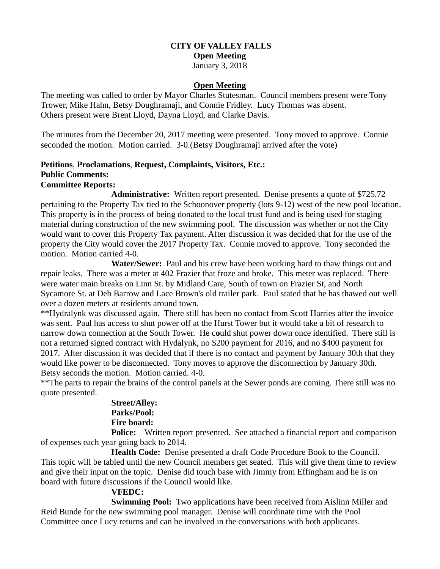### **CITY OF VALLEY FALLS Open Meeting**

January 3, 2018

## **Open Meeting**

The meeting was called to order by Mayor Charles Stutesman. Council members present were Tony Trower, Mike Hahn, Betsy Doughramaji, and Connie Fridley. Lucy Thomas was absent. Others present were Brent Lloyd, Dayna Lloyd, and Clarke Davis.

The minutes from the December 20, 2017 meeting were presented. Tony moved to approve. Connie seconded the motion. Motion carried. 3-0.(Betsy Doughramaji arrived after the vote)

## **Petitions**, **Proclamations**, **Request, Complaints, Visitors, Etc.: Public Comments: Committee Reports:**

**Administrative:** Written report presented. Denise presents a quote of \$725.72 pertaining to the Property Tax tied to the Schoonover property (lots 9-12) west of the new pool location. This property is in the process of being donated to the local trust fund and is being used for staging material during construction of the new swimming pool. The discussion was whether or not the City would want to cover this Property Tax payment. After discussion it was decided that for the use of the property the City would cover the 2017 Property Tax. Connie moved to approve. Tony seconded the motion. Motion carried 4-0.

**Water/Sewer:** Paul and his crew have been working hard to thaw things out and repair leaks. There was a meter at 402 Frazier that froze and broke. This meter was replaced. There were water main breaks on Linn St. by Midland Care, South of town on Frazier St, and North Sycamore St. at Deb Barrow and Lace Brown's old trailer park. Paul stated that he has thawed out well over a dozen meters at residents around town.

\*\*Hydralynk was discussed again. There still has been no contact from Scott Harries after the invoice was sent. Paul has access to shut power off at the Hurst Tower but it would take a bit of research to narrow down connection at the South Tower. He c**o**uld shut power down once identified. There still is not a returned signed contract with Hydalynk, no \$200 payment for 2016, and no \$400 payment for 2017. After discussion it was decided that if there is no contact and payment by January 30th that they would like power to be disconnected. Tony moves to approve the disconnection by January 30th. Betsy seconds the motion. Motion carried. 4-0.

\*\*The parts to repair the brains of the control panels at the Sewer ponds are coming. There still was no quote presented.

#### **Street/Alley: Parks/Pool: Fire board:**

**Police:** Written report presented. See attached a financial report and comparison of expenses each year going back to 2014.

**Health Code:** Denise presented a draft Code Procedure Book to the Council. This topic will be tabled until the new Council members get seated. This will give them time to review and give their input on the topic. Denise did touch base with Jimmy from Effingham and he is on board with future discussions if the Council would like.

## **VFEDC:**

**Swimming Pool:** Two applications have been received from Aislinn Miller and Reid Bunde for the new swimming pool manager. Denise will coordinate time with the Pool Committee once Lucy returns and can be involved in the conversations with both applicants.